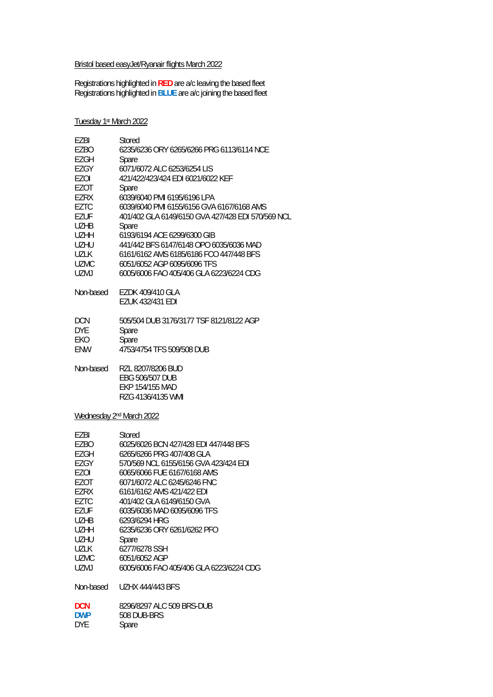### Bristol based easyJet/Ryanair flights March 2022

Registrations highlighted in **RED** are a/c leaving the based fleet Registrations highlighted in **BLUE** are a/c joining the based fleet

### Tuesday 1st March 2022

| EZBI                                 | Stored                                            |
|--------------------------------------|---------------------------------------------------|
| EZBO                                 | 6235/6236 ORY 6265/6266 PRG 6113/6114 NCE         |
| EZGH                                 | Spare                                             |
| EZGY                                 | 6071/6072 ALC 6253/6254 LIS                       |
| EZOI                                 | 421/422/423/424 EDI 6021/6022 KEF                 |
| EZOT                                 | Spare                                             |
| EZRX                                 | 6039/6040 PMI 6195/6196 LPA                       |
| <b>EZTC</b>                          | 6039/6040 PMI 6155/6156 GVA 6167/6168 AMS         |
| <b>EZUF</b>                          | 401/402 GLA 6149/6150 GVA 427/428 EDI 570/569 NCL |
| <b>UZHB</b>                          | Spare                                             |
| <b>UZHH</b>                          | 6193/6194 ACE 6299/6300 GIB                       |
| <b>UZHU</b>                          | 441/442 BFS 6147/6148 OPO 6035/6036 MAD           |
| <b>UZLK</b>                          | 6161/6162 AMS 6185/6186 FCO 447/448 BFS           |
| <b>UZMC</b>                          | 6051/6052 AGP 6095/6096 TFS                       |
| <b>UZMJ</b>                          | 6005/6006 FAO 405/406 GLA 6223/6224 CDG           |
| Non-based                            | EZDK 409/410 GLA                                  |
|                                      | <b>EZUK 432/431 EDI</b>                           |
| <b>DCN</b>                           | 505/504 DUB 3176/3177 TSF 8121/8122 AGP           |
| <b>DYE</b>                           | Spare                                             |
| EKO                                  | Spare                                             |
| ENW                                  | 4753/4754 TFS 509/508 DUB                         |
| Non-based                            | RZL 8207/8206 BUD                                 |
|                                      | <b>EBG 506/507 DUB</b>                            |
|                                      | EKP 154/155 MAD                                   |
|                                      | RZG 4136/4135 WMI                                 |
| Wednesday 2 <sup>nd</sup> March 2022 |                                                   |
| EZBI                                 | Stored                                            |
| EZBO                                 | 6025/6026 BCN 427/428 EDI 447/448 BFS             |
| <b>EZGH</b>                          | 6265/6266 PRG 407/408 GLA                         |

| F7GH       | 6265/6266 PRG 407/408 GLA               |
|------------|-----------------------------------------|
| F7GY       | 570/569 NCL 6155/6156 GVA 423/424 EDI   |
| EZOI       | 6065/6066 FUE 6167/6168 AMS             |
| F70T       | 6071/6072 ALC 6245/6246 FNC             |
| F7RX       | 6161/6162 AMS 421/422 FDI               |
| F7TC       | 401/402 GLA 6149/6150 GVA               |
| F7UF       | 6035/6036 MAD 6095/6096 TFS             |
| UZHB       | 6293/6294 HRG                           |
| UZHH       | 6235/6236 ORY 6261/6262 PFO             |
| UZHU.      | Spare                                   |
| UZLK       | 6277/6278 SSH                           |
| UZMC.      | 6051/6052 AGP                           |
| UZMJ       | 6005/6006 FAO 405/406 GLA 6223/6224 CDG |
| Non-based  | <b>UZHX 444/443 BFS</b>                 |
| DCN        | 8296/8297 ALC 509 BRS-DUB               |
| <b>DWP</b> | 508 DUB-BRS                             |
| DYE        | Spare                                   |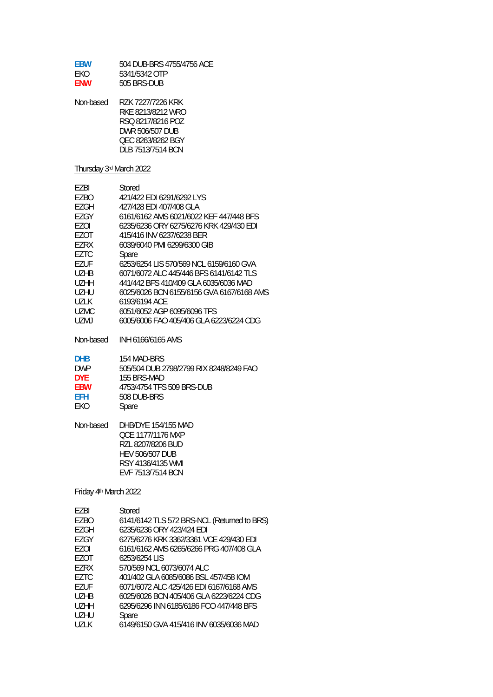| <b>FBW</b> | 504 DUB-BRS 4755/4756 ACE |
|------------|---------------------------|
| FKO.       | 5341/5342 OTP             |
| <b>FNW</b> | 505 BRS-DUB               |

| Non-based | R7K 7227/7226 KRK |
|-----------|-------------------|
|           | RKE 8213/8212 WRO |
|           | RSO 8217/8216 POZ |
|           | DWR 506/507 DUB   |
|           | OEC 8263/8262 BGY |
|           | DLB 7513/7514 BCN |

# Thursday 3rd March 2022

| <b>FZBI</b>                   | Stored                                    |
|-------------------------------|-------------------------------------------|
| EZBO                          | 421/422 FDI 6291/6292 LYS                 |
| EZGH                          | 427/428 FDI 407/408 GLA                   |
| F7GY                          | 6161/6162 AMS 6021/6022 KFF 447/448 BFS   |
| F70I                          | 6235/6236 ORY 6275/6276 KRK 429/430 FDI   |
| F70T                          | 415/416 INV 6237/6238 BER                 |
| F7RX                          | 6039/6040 PMI 6299/6300 GIB               |
| F7TC                          | Spare                                     |
| <b>FZUF</b>                   | 6253/6254 LIS 570/569 NCL 6159/6160 GVA   |
| U <sub>7</sub> H <sub>R</sub> | 6071/6072 ALC 445/446 BES 6141/6142 TLS   |
| U <sub>7</sub> HH             | 441/442 BES 410/409 GLA 6035/6036 MAD     |
| UZHU                          | 6025/6026 BCN 6155/6156 GVA 6167/6168 AMS |
| <b>UZLK</b>                   | 6193/6194 ACF                             |
| <b>UZMC</b>                   | 6051/6052 AGP 6095/6096 TFS               |
| UZMJ                          | 6005/6006 FAO 405/406 GLA 6223/6224 CDG   |

| <b>DHB</b> | 154 MAD-BRS                             |
|------------|-----------------------------------------|
| <b>DWP</b> | 505/504 DUB 2798/2799 RIX 8248/8249 FAO |
| DYF.       | 155 BRS-MAD                             |
| <b>FBW</b> | 4753/4754 TFS 509 BRS-DUB               |
| FFH        | 508 DUB-BRS                             |
| <b>FKO</b> | Spare                                   |
|            |                                         |

| Non-based | DHB/DYE 154/155 MAD    |
|-----------|------------------------|
|           | OCF 1177/1176 MXP      |
|           | RZL 8207/8206 BUD      |
|           | <b>HEV 506/507 DUB</b> |
|           | RSY 4136/4135 WMI      |
|           | EVF 7513/7514 BCN      |

# Friday 4th March 2022

| F7RI   | Stored                                      |
|--------|---------------------------------------------|
| F7BO   | 6141/6142 TLS 572 BRS-NCL (Returned to BRS) |
| F7GH   | 6235/6236 ORY 423/424 FDI                   |
| F7GY   | 6275/6276 KRK 3362/3361 VCE 429/430 EDI     |
| F70I   | 6161/6162 AMS 6265/6266 PRG 407/408 GLA     |
| F70T   | 6253/6254 LIS                               |
| F7RX   | 570/569 NCL 6073/6074 ALC                   |
| F7TC   | 401/402 GLA 6085/6086 BSL 457/458 IOM       |
| F7UF   | 6071/6072 ALC 425/426 FDI 6167/6168 AMS     |
| U7HR   | 6025/6026 BCN 405/406 GLA 6223/6224 CDG     |
| U7HH   | 6295/6296 INN 6185/6186 FCO 447/448 BFS     |
| UZHU   | Spare                                       |
| 1171 K | 6149/6150 GVA 415/416 INV 6035/6036 MAD     |
|        |                                             |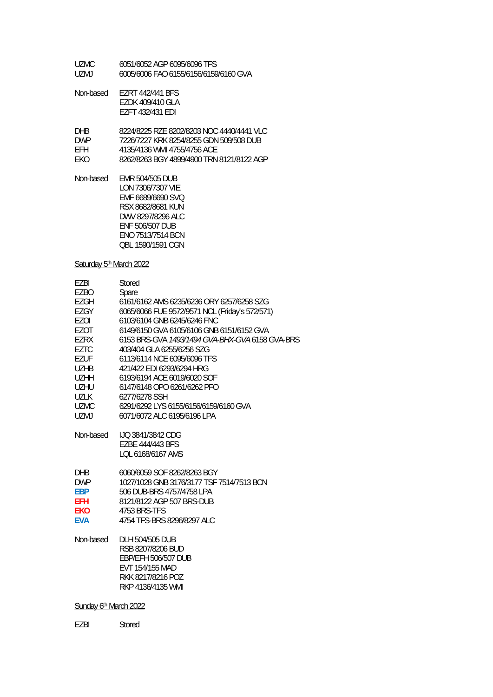UZMC 6051/6052 AGP 6095/6096 TFS UZMJ 6005/6006 FAO 6155/6156/6159/6160 GVA

Non-based EZRT 442/441 BFS EZDK 409/410 GLA EZFT 432/431 EDI

| DHR.       | 8224/8225 R7F 8202/8203 NOC 4440/4441 VLC |
|------------|-------------------------------------------|
| <b>DWP</b> | 7226/7227 KRK 8254/8255 GDN 509/508 DUB   |
| FFH.       | 4135/4136 WMI 4755/4756 ACF               |
| EKO.       | 8262/8263 BGY 4899/4900 TRN 8121/8122 AGP |

Non-based EMR 504/505 DUB LON 7306/7307 VIE EMF 6689/6690 SVQ RSX 8682/8681 KUN DWV 8297/8296 ALC ENF 506/507 DUB ENO 7513/7514 BCN QBL 1590/1591 CGN

Saturday 5<sup>th</sup> March 2022

| F7BI        | Stored                                          |
|-------------|-------------------------------------------------|
| EZBO        | Spare                                           |
| EZGH        | 6161/6162 AMS 6235/6236 ORY 6257/6258 SZG       |
| F7GY        | 6065/6066 FUE 9572/9571 NCL (Friday's 572/571)  |
| F70I        | 6103/6104 GNB 6245/6246 FNC                     |
| EZOT        | 6149/6150 GVA 6105/6106 GNB 6151/6152 GVA       |
| F7RX        | 6153 BRS-GVA 1493/1494 GVA-BHX-GVA 6158 GVA-BRS |
| EZTC        | 403/404 GLA 6255/6256 SZG                       |
| EZUF        | 6113/6114 NCF 6095/6096 TFS                     |
| UZHB        | 421/422 FDI 6293/6294 HRG                       |
| <b>UZHH</b> | 6193/6194 ACE 6019/6020 SOF                     |
| UZHU        | 6147/6148 OPO 6261/6262 PFO                     |
| UZLK        | 6277/6278 SSH                                   |
| <b>UZMC</b> | 6291/6292 LYS 6155/6156/6159/6160 GVA           |
| <b>UZMJ</b> | 6071/6072 ALC 6195/6196 LPA                     |
|             |                                                 |
| Non-based   | LJO 3841/3842 CDG                               |

| TJO 3841/3842 CDG |
|-------------------|
| F7BF 444/443 BFS  |
| LOL 6168/6167 AMS |
|                   |

| DHB.       | 6060/6059 SOF 8262/8263 BGY               |
|------------|-------------------------------------------|
| <b>DWP</b> | 1027/1028 GNB 3176/3177 TSF 7514/7513 BCN |
| <b>FBP</b> | 506 DUB-BRS 4757/4758 LPA                 |
| <b>FFH</b> | 8121/8122 AGP 507 BRS-DUB                 |
| <b>FKO</b> | 4753 BRS-TFS                              |
| <b>FVA</b> | 4754 TFS-BRS 8296/8297 ALC                |

Non-based DLH 504/505 DUB RSB 8207/8206 BUD EBP/EFH 506/507 DUB EVT 154/155 MAD RKK 8217/8216 POZ RKP 4136/4135 WMI

Sunday 6th March 2022

EZBI Stored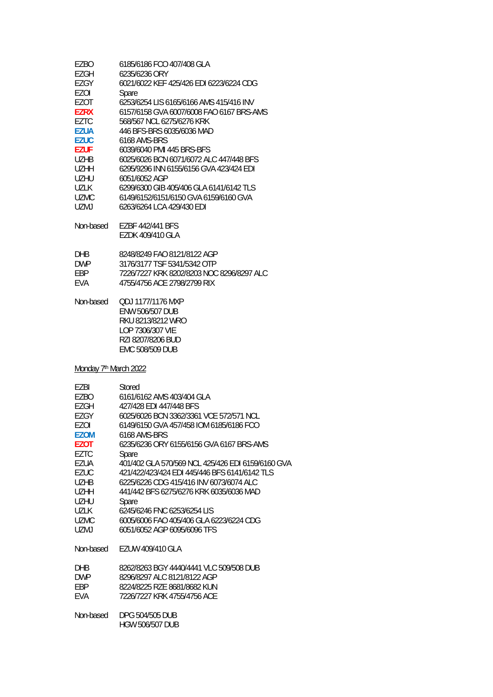| <b>EZGH</b><br>6235/6236 ORY<br>EZGY<br>6021/6022 KEF 425/426 EDI 6223/6224 CDG |  |
|---------------------------------------------------------------------------------|--|
|                                                                                 |  |
|                                                                                 |  |
| EZOI<br>Spare                                                                   |  |
| <b>EZOT</b><br>6253/6254 LIS 6165/6166 AMS 415/416 INV                          |  |
| <b>EZRX</b><br>6157/6158 GVA 6007/6008 FAO 6167 BRS-AMS                         |  |
| <b>EZTC</b><br>568/567 NCL 6275/6276 KRK                                        |  |
| <b>EZUA</b><br>446 BFS-BRS 6035/6036 MAD                                        |  |
| <b>EZUC</b><br>6168 AMS-BRS                                                     |  |
| <b>EZUF</b><br>6039/6040 PMI 445 BRS-BFS                                        |  |
| 6025/6026 BCN 6071/6072 ALC 447/448 BFS<br><b>UZHB</b>                          |  |
| 6295/9296 INN 6155/6156 GVA 423/424 EDI<br><b>UZHH</b>                          |  |
| 6051/6052 AGP<br><b>UZHU</b>                                                    |  |
| 6299/6300 GIB 405/406 GLA 6141/6142 TLS<br><b>UZLK</b>                          |  |
| 6149/6152/6151/6150 GVA 6159/6160 GVA<br><b>UZMC</b>                            |  |
| UZMJ<br>6263/6264 LCA 429/430 EDI                                               |  |
| Non-based<br>EZBF 442/441 BFS                                                   |  |
| EZDK 409/410 GLA                                                                |  |
| 8248/8249 FAO 8121/8122 AGP<br><b>DHB</b>                                       |  |
| <b>DWP</b><br>3176/3177 TSF 5341/5342 OTP                                       |  |
| 7226/7227 KRK 8202/8203 NOC 8296/8297 ALC<br><b>EBP</b>                         |  |
| 4755/4756 ACE 2798/2799 RIX<br><b>EVA</b>                                       |  |
| Non-based<br>QDJ 1177/1176 MXP                                                  |  |
| <b>ENW 506/507 DUB</b>                                                          |  |
| RKU 8213/8212 WRO                                                               |  |
| LOP 7306/307 VIE                                                                |  |
| RZI 8207/8206 BUD                                                               |  |
| EMC 508/509 DUB                                                                 |  |
| Monday 7 <sup>th</sup> March 2022                                               |  |
| EZBI<br>Stored                                                                  |  |
| <b>EZBO</b><br>6161/6162 AMS 403/404 GLA                                        |  |
| 427/428 EDI 447/448 BFS<br><b>EZGH</b>                                          |  |
| EZGY<br>6025/6026 BCN 3362/3361 VCE 572/571 NCL                                 |  |

EZGY 6025/6026 BCN 3362/3361 VCE 572/571 NCL EZOI 6149/6150 GVA 457/458 IOM 6185/6186 FCO **EZOM** 6168 AMS-BRS **EZOT** 6235/6236 ORY 6155/6156 GVA 6167 BRS-AMS EZTC Spare<br>EZUA 401/40 EZUA 401/402 GLA 570/569 NCL 425/426 EDI 6159/6160 GVA EZUC 421/422/423/424 EDI 445/446 BFS 6141/6142 TLS<br>UZHB 6225/6226 CDG 415/416 INV 6073/6074 ALC UZHB 6225/6226 CDG 415/416 INV 6073/6074 ALC UZHH 441/442 BFS 6275/6276 KRK 6035/6036 MAD UZHU Spare UZLK 6245/6246 FNC 6253/6254 LIS<br>UZMC 6005/6006 FAO 405/406 GLA 6 UZMC 6005/6006 FAO 405/406 GLA 6223/6224 CDG<br>UZMJ 6051/6052 AGP 6095/6096 TFS 6051/6052 AGP 6095/6096 TFS Non-based EZUW 409/410 GLA DHB 8262/8263 BGY 4440/4441 VLC 509/508 DUB<br>DWP 8296/8297 ALC 8121/8122 AGP

DWP 8296/8297 ALC 8121/8122 AGP<br>EBP 8224/8225 RZE 8681/8682 KUN 8224/8225 RZE 8681/8682 KUN EVA 7226/7227 KRK 4755/4756 ACE

Non-based DPG 504/505 DUB HGW 506/507 DUB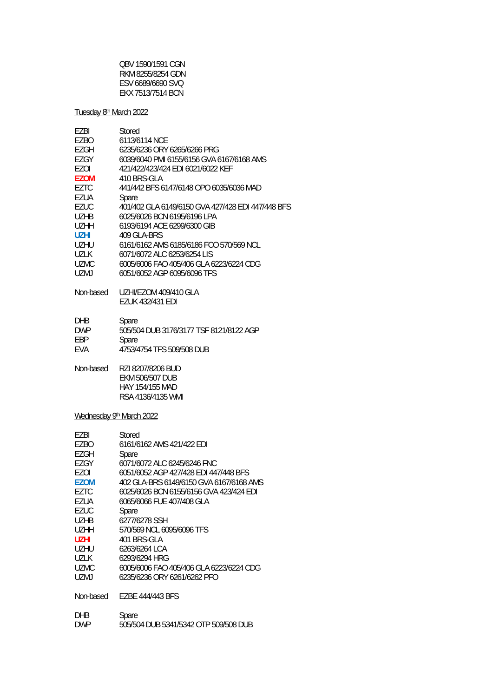| OBV 1590/1591 CGN |
|-------------------|
| RKM 8255/8254 GDN |
| ESV 6689/6690 SVO |
| EKX 7513/7514 BCN |

### Tuesday 8<sup>th</sup> March 2022

| EZBI                     | Stored                                                                       |
|--------------------------|------------------------------------------------------------------------------|
| EZBO                     | 6113/6114 NCE                                                                |
| EZGH                     | 6235/6236 ORY 6265/6266 PRG                                                  |
| EZGY                     | 6039/6040 PMI 6155/6156 GVA 6167/6168 AMS                                    |
| EZOI                     | 421/422/423/424 EDI 6021/6022 KEF                                            |
| <b>EZOM</b>              | 410 BRS-GLA                                                                  |
| <b>EZTC</b>              | 441/442 BFS 6147/6148 OPO 6035/6036 MAD                                      |
| EZUA                     | Spare                                                                        |
| EZUC                     | 401/402 GLA 6149/6150 GVA 427/428 EDI 447/448 BFS                            |
| <b>UZHB</b>              | 6025/6026 BCN 6195/6196 LPA                                                  |
| <b>UZHH</b>              | 6193/6194 ACE 6299/6300 GIB                                                  |
| <b>UZHI</b>              | 409 GLA-BRS                                                                  |
| <b>UZHU</b>              | 6161/6162 AMS 6185/6186 FCO 570/569 NCL                                      |
| UZLK                     | 6071/6072 ALC 6253/6254 LIS                                                  |
| <b>UZMC</b>              | 6005/6006 FAO 405/406 GLA 6223/6224 CDG                                      |
| <b>UZMJ</b>              | 6051/6052 AGP 6095/6096 TFS                                                  |
| Non-based                | UZHI/EZOM 409/410 GLA<br><b>EZUK 432/431 EDI</b>                             |
| <b>DHB</b>               | Spare                                                                        |
| <b>DWP</b>               | 505/504 DUB 3176/3177 TSF 8121/8122 AGP                                      |
| EBP                      | Spare                                                                        |
| EVA                      | 4753/4754 TFS 509/508 DUB                                                    |
| Non-based                | RZI 8207/8206 BUD<br>EKM 506/507 DUB<br>HAY 154/155 MAD<br>RSA 4136/4135 WMI |
| Wednesday 9th March 2022 |                                                                              |
| <b>EZBI</b>              | Stored                                                                       |
| <b>EZBO</b>              | 6161/6162 AMS 421/422 EDI                                                    |
| <b>EZGH</b>              | Spare                                                                        |
| EZGY                     | 6071/6072 ALC 6245/6246 FNC                                                  |
| EZOI                     | 6051/6052 AGP 427/428 EDI 447/448 BFS                                        |
| <b>EZOM</b>              | 402 GLA-BRS 6149/6150 GVA 6167/6168 AMS                                      |
| <b>EZTC</b>              | 6025/6026 BCN 6155/6156 GVA 423/424 EDI                                      |
| EZUA                     | 6065/6066 FUE 407/408 GLA                                                    |
| <b>EZUC</b>              | Spare                                                                        |
| <b>UZHB</b>              | 6277/6278 SSH                                                                |
| <b>UZHH</b>              | 570/569 NCL 6095/6096 TFS                                                    |
| <b>UZHI</b>              | 401 BRS-GLA                                                                  |
| UZHU                     | 6263/6264 LCA                                                                |
| <b>UZLK</b>              | 6293/6294 HRG                                                                |
| <b>UZMC</b>              | 6005/6006 FAO 405/406 GLA 6223/6224 CDG                                      |
| <b>UZMJ</b>              | 6235/6236 ORY 6261/6262 PFO                                                  |
| Non-based                | EZBE 444/443 BFS                                                             |
| DHB                      | Spare                                                                        |
| <b>DWP</b>               | 505/504 DUB 5341/5342 OTP 509/508 DUB                                        |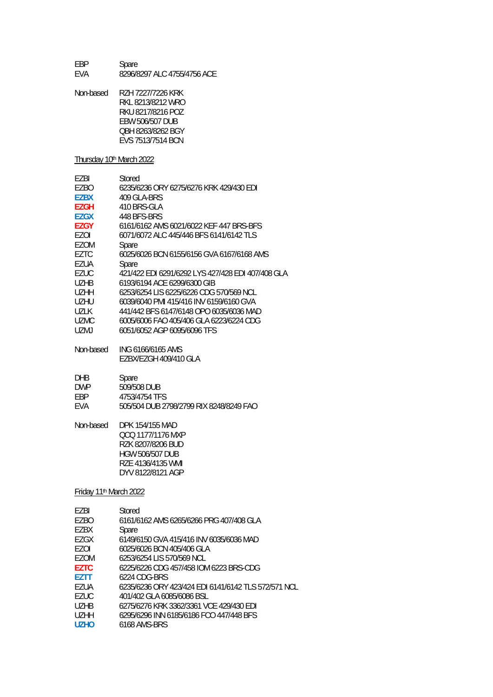EBP Spare<br>EVA 8296/8 8296/8297 ALC 4755/4756 ACE

| Non-based | RZH 7227/7226 KRK |
|-----------|-------------------|
|           | RKI 8213/8212 WRO |
|           | RKU 8217/8216 POZ |
|           | EBW 506/507 DUB   |
|           | OBH 8263/8262 BGY |
|           | EVS 7513/7514 BCN |

### Thursday 10th March 2022

| F7BI        | Stored                                            |
|-------------|---------------------------------------------------|
| EZBO        | 6235/6236 ORY 6275/6276 KRK 429/430 EDI           |
| <b>EZBX</b> | 409 GLA-BRS                                       |
| EZGH        | 410 BRS-GLA                                       |
| EZGX        | 448 BFS-BRS                                       |
| EZGY        | 6161/6162 AMS 6021/6022 KEF 447 BRS-BFS           |
| EZOI        | 6071/6072 ALC 445/446 BFS 6141/6142 TLS           |
| EZOM        | Spare                                             |
| EZTC        | 6025/6026 BCN 6155/6156 GVA 6167/6168 AMS         |
| EZUA        | Spare                                             |
| EZUC        | 421/422 EDI 6291/6292 LYS 427/428 EDI 407/408 GLA |
| U7HB        | 6193/6194 ACF 6299/6300 GIB                       |
| U7HH        | 6253/6254 LIS 6225/6226 CDG 570/569 NCL           |
| UZHU        | 6039/6040 PMI 415/416 INV 6159/6160 GVA           |
| UZLK        | 441/442 BFS 6147/6148 OPO 6035/6036 MAD           |
| <b>UZMC</b> | 6005/6006 FAO 405/406 GLA 6223/6224 CDG           |
| UZMJ        | 6051/6052 AGP 6095/6096 TFS                       |
| Non-based   | ING 6166/6165 AMS                                 |

| 1 1011 NUJUM |                       |
|--------------|-----------------------|
|              | EZBX/EZGH 409/410 GLA |

| Spare |
|-------|
|       |

| <b>DWP</b> | 509/508 DUB |
|------------|-------------|
|            |             |

|            | - <b>-</b> - - |
|------------|----------------|
| <b>DWP</b> | 509/508 DUB    |
| FBP        | 4753/4754 TFS  |

| EVA | 505/504 DUB 2798/2799 RIX 8248/8249 FAO |  |  |
|-----|-----------------------------------------|--|--|
|     |                                         |  |  |

Non-based DPK 154/155 MAD QCQ 1177/1176 MXP RZK 8207/8206 BUD HGW 506/507 DUB RZE 4136/4135 WMI DYV 8122/8121 AGP

### Friday 11th March 2022

| F7BI                          | Stored                                              |
|-------------------------------|-----------------------------------------------------|
| EZBO                          | 6161/6162 AMS 6265/6266 PRG 407/408 GLA             |
| EZBX                          | Spare                                               |
| EZGX                          | 6149/6150 GVA 415/416 INV 6035/6036 MAD             |
| F70I                          | 6025/6026 BCN 405/406 GLA                           |
| F70M                          | 6253/6254 LIS 570/569 NCL                           |
| <b>F7TC</b>                   | 6225/6226 CDG 457/458 IOM 6223 BRS-CDG              |
| F7TT                          | 6224 CDG-BRS                                        |
| F7UA                          | 6235/6236 ORY 423/424 EDI 6141/6142 TLS 572/571 NCL |
| F7UC                          | 401/402 GLA 6085/6086 BSL                           |
| U <sub>7</sub> H <sub>R</sub> | 6275/6276 KRK 3362/3361 VCE 429/430 EDI             |
| <b>UZHH</b>                   | 6295/6296 INN 6185/6186 FCO 447/448 BFS             |
| <b>UZHO</b>                   | 6168 AMS-BRS                                        |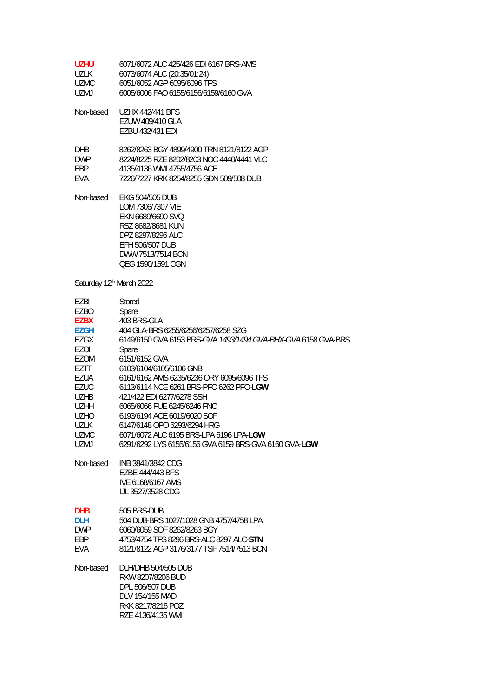| UZHU. | 6071/6072 ALC 425/426 EDI 6167 BRS-AMS |
|-------|----------------------------------------|
| UZLK  | 6073/6074 ALC (20:35/01:24)            |
| UZMC. | 6051/6052 AGP 6095/6096 TFS            |
| UZMJ. | 6005/6006 FAO 6155/6156/6159/6160 GVA  |

| Non-based | <b>UZHX 442/441 BFS</b> |
|-----------|-------------------------|
|           | EZUW 409/410 GLA        |
|           | EZBU 432/431 EDI        |

| <b>DHR</b> | 8262/8263 BGY 4899/4900 TRN 8121/8122 AGP |
|------------|-------------------------------------------|
| <b>DWP</b> | 8224/8225 R7F 8202/8203 NOC 4440/4441 VLC |
| FRP        | 4135/4136 WMI 4755/4756 ACF               |
| <b>FVA</b> | 7226/7227 KRK 8254/8255 GDN 509/508 DUB   |

Non-based EKG 504/505 DUB LOM 7306/7307 VIE EKN 6689/6690 SVQ RSZ 8682/8681 KUN DPZ 8297/8296 ALC EFH 506/507 DUB DWW 7513/7514 BCN QEG 1590/1591 CGN

## Saturday 12th March 2022

| EZBI        | Stored                                                        |
|-------------|---------------------------------------------------------------|
| EZBO        | Spare                                                         |
| <b>EZBX</b> | 403 BRS-GLA                                                   |
| <b>EZGH</b> | 404 GLA-BRS 6255/6256/6257/6258 SZG                           |
| EZGX        | 6149/6150 GVA 6153 BRS-GVA 1493/1494 GVA-BHX-GVA 6158 GVA-BRS |
| EZOI        | Spare                                                         |
| <b>EZOM</b> | 6151/6152 GVA                                                 |
| EZTT        | 6103/6104/6105/6106 GNB                                       |
| EZUA        | 6161/6162 AMS 6235/6236 ORY 6095/6096 TFS                     |
| <b>EZUC</b> | 6113/6114 NCE 6261 BRS-PFO 6262 PFO-LGW                       |
| <b>UZHB</b> | 421/422 EDI 6277/6278 SSH                                     |
| <b>UZHH</b> | 6065/6066 FUE 6245/6246 FNC                                   |
| <b>UZHO</b> | 6193/6194 ACE 6019/6020 SOF                                   |
| <b>UZLK</b> | 6147/6148 OPO 6293/6294 HRG                                   |
| <b>UZMC</b> | 6071/6072 ALC 6195 BRS-LPA 6196 LPA-LGW                       |
| UZMJ        | 6291/6292 LYS 6155/6156 GVA 6159 BRS-GVA 6160 GVA-LGW         |
| Non-based   | INB 3841/3842 CDG                                             |
|             | EZBE 444/443 BFS                                              |
|             | IVE 6168/6167 AMS                                             |
|             | IJL 3527/3528 CDG                                             |
| <b>DHB</b>  | 505 BRS-DUB                                                   |
| <b>DLH</b>  | 504 DUB-BRS 1027/1028 GNB 4757/4758 LPA                       |
| <b>DWP</b>  | 6060/6059 SOF 8262/8263 BGY                                   |
| EBP         | 4753/4754 TFS 8296 BRS-ALC 8297 ALC-STN                       |
| <b>EVA</b>  | 8121/8122 AGP 3176/3177 TSF 7514/7513 BCN                     |
| Non-based   | <b>DLH/DHB 504/505 DUB</b>                                    |
|             | RKW 8207/8206 BUD                                             |
|             | DPL 506/507 DUB                                               |
|             | DLV 154/155 MAD                                               |
|             | RKK 8217/8216 POZ                                             |
|             | RZE 4136/4135 WMI                                             |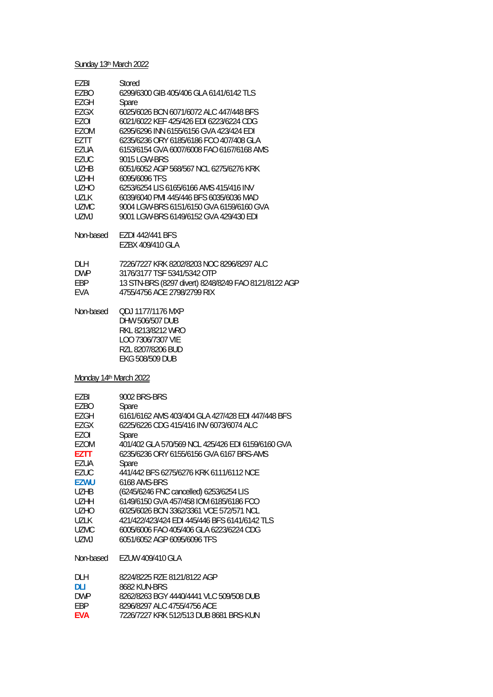### Sunday 13<sup>th</sup> March 2022

| EZBI        | Stored                                    |
|-------------|-------------------------------------------|
| F7BO        | 6299/6300 GIB 405/406 GLA 6141/6142 TLS   |
| EZGH        | Spare                                     |
| FZGX        | 6025/6026 BCN 6071/6072 ALC 447/448 BFS   |
| F70I        | 6021/6022 KEF 425/426 EDI 6223/6224 CDG   |
| <b>FZOM</b> | 6295/6296 INN 6155/6156 GVA 423/424 FDI   |
| F7TT        | 6235/6236 ORY 6185/6186 FCO 407/408 GLA   |
| EZUA        | 6153/6154 GVA 6007/6008 FAO 6167/6168 AMS |
| <b>FZUC</b> | 9015 LGW-BRS                              |
| <b>UZHB</b> | 6051/6052 AGP 568/567 NCL 6275/6276 KRK   |
| <b>UZHH</b> | 6095/6096 TFS                             |
| UZHO        | 6253/6254 LIS 6165/6166 AMS 415/416 INV   |
| 1171 K      | 6039/6040 PML 445/446 BES 6035/6036 MAD   |
| UZMC.       | 9004 LGW-BRS 6151/6150 GVA 6159/6160 GVA  |
| UZMJ        | 9001 LGW-BRS 6149/6152 GVA 429/430 FDL    |
|             |                                           |
| Non-based   | EZDI 442/441 BFS                          |
|             | EZBX 409/410 GLA                          |

| DI H       | 7226/7227 KRK 8202/8203 NOC 8296/8297 ALC            |
|------------|------------------------------------------------------|
| <b>DWP</b> | 3176/3177 TSF 5341/5342 OTP                          |
| FRP        | 13 STN-BRS (8297 divert) 8248/8249 FAO 8121/8122 AGP |
| FVA        | 4755/4756 ACE 2798/2799 RIX                          |

Non-based QDJ 1177/1176 MXP DHW 506/507 DUB RKL 8213/8212 WRO LOO 7306/7307 VIE RZL 8207/8206 BUD EKG 508/509 DUB

#### Monday 14<sup>th</sup> March 2022

| EZBI        | 9002 BRS-BRS                                      |
|-------------|---------------------------------------------------|
| EZBO        | Spare                                             |
| EZGH        | 6161/6162 AMS 403/404 GLA 427/428 EDI 447/448 BFS |
| EZGX        | 6225/6226 CDG 415/416 INV 6073/6074 ALC           |
| F70I        | Spare                                             |
| <b>EZOM</b> | 401/402 GLA 570/569 NCL 425/426 EDI 6159/6160 GVA |
| EZTT        | 6235/6236 ORY 6155/6156 GVA 6167 BRS-AMS          |
| F7UA        | Spare                                             |
| <b>EZUC</b> | 441/442 BFS 6275/6276 KRK 6111/6112 NCE           |
| <b>EZWU</b> | 6168 AMS-BRS                                      |
| UZHB        | (6245/6246 FNC cancelled) 6253/6254 LIS           |
| <b>UZHH</b> | 6149/6150 GVA 457/458 IOM 6185/6186 FCO           |
| UZHO        | 6025/6026 BCN 3362/3361 VCE 572/571 NCL           |
| 1171 K      | 421/422/423/424 EDI 445/446 BFS 6141/6142 TLS     |
| <b>UZMC</b> | 6005/6006 FAO 405/406 GLA 6223/6224 CDG           |
| UZMJ        | 6051/6052 AGP 6095/6096 TFS                       |
| Non-based   | EZUW 409/410 GLA                                  |
| DLH         | 8224/8225 RZE 8121/8122 AGP                       |
| DI I        | 8682 KUN-BRS                                      |
| <b>DWP</b>  | 8262/8263 BGY 4440/4441 VLC 509/508 DUB           |
| EBP         | 8296/8297 ALC 4755/4756 ACE                       |

**EVA** 7226/7227 KRK 512/513 DUB 8681 BRS-KUN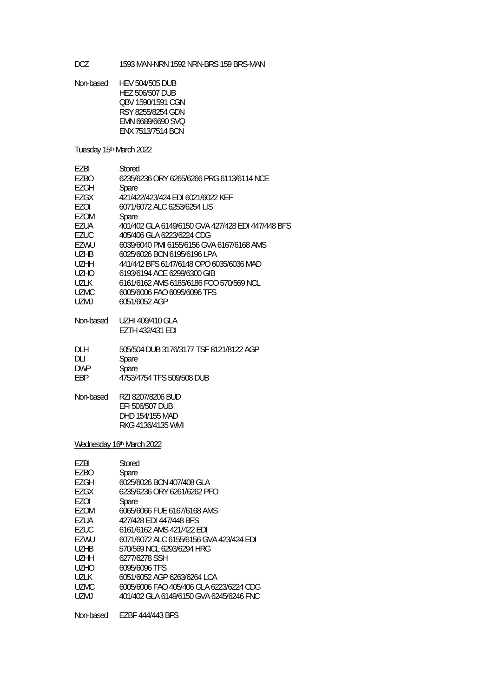DCZ 1593 MAN-NRN 1592 NRN-BRS 159 BRS-MAN

Non-based HEV 504/505 DUB HEZ 506/507 DUB QBV 1590/1591 CGN RSY 8255/8254 GDN EMN 6689/6690 SVQ ENX 7513/7514 BCN

Tuesday 15th March 2022

| F7BI<br>EZBO<br>EZGH | Stored<br>6235/6236 ORY 6265/6266 PRG 6113/6114 NCE<br>Spare |
|----------------------|--------------------------------------------------------------|
| EZGX                 | 421/422/423/424 EDI 6021/6022 KEF                            |
| F70I                 | 6071/6072 ALC 6253/6254 LIS                                  |
| EZOM                 | Spare                                                        |
| EZUA                 | 401/402 GLA 6149/6150 GVA 427/428 EDI 447/448 BFS            |
| EZUC                 | 405/406 GLA 6223/6224 CDG                                    |
| FZWU                 | 6039/6040 PML6155/6156 GVA 6167/6168 AMS                     |
| UZHB                 | 6025/6026 BCN 6195/6196 LPA                                  |
| <b>UZHH</b>          | 441/442 BFS 6147/6148 OPO 6035/6036 MAD                      |
| <b>UZHO</b>          | 6193/6194 ACF 6299/6300 GIB                                  |
| UZLK                 | 6161/6162 AMS 6185/6186 FCO 570/569 NCL                      |
| <b>UZMC</b>          | 6005/6006 FAO 6095/6096 TFS                                  |
| UZMJ                 | 6051/6052 AGP                                                |
| Non-based            | UZHI 409/410 GLA                                             |
|                      | EZTH 432/431 EDI                                             |

| -DI H      | 505/504 DUB 3176/3177 TSF 8121/8122 AGP |
|------------|-----------------------------------------|
| DI I       | Spare                                   |
| <b>DWP</b> | Spare                                   |
| FRP        | 4753/4754 TFS 509/508 DUB               |

| Non-based | RZI 8207/8206 BUD |  |
|-----------|-------------------|--|
|           |                   |  |

| EFI 506/507 DUB   |
|-------------------|
| DHD 154/155 MAD   |
| RKG 4136/4135 WML |
|                   |

Wednesday 16th March 2022

| <b>FZBI</b> | Stored                                  |
|-------------|-----------------------------------------|
| F7BO        | Spare                                   |
| F7GH        | 6025/6026 BCN 407/408 GLA               |
| F7GX        | 6235/6236 ORY 6261/6262 PFO             |
| F70I        | Spare                                   |
| F70M        | 6065/6066 FUE 6167/6168 AMS             |
| F7UA        | 427/428 FDI 447/448 BFS                 |
| <b>FZUC</b> | 6161/6162 AMS 421/422 FDI               |
| F7WU        | 6071/6072 ALC 6155/6156 GVA 423/424 FDI |
| U7HB        | 570/569 NCL 6293/6294 HRG               |
| U7HH        | 6277/6278 SSH                           |
| UZHO        | 6095/6096 TFS                           |
| 1171 K      | 6051/6052 AGP 6263/6264 LCA             |
| <b>UZMC</b> | 6005/6006 FAO 405/406 GLA 6223/6224 CDG |
| UZMJ        | 401/402 GLA 6149/6150 GVA 6245/6246 FNC |
|             |                                         |

Non-based EZBF 444/443 BFS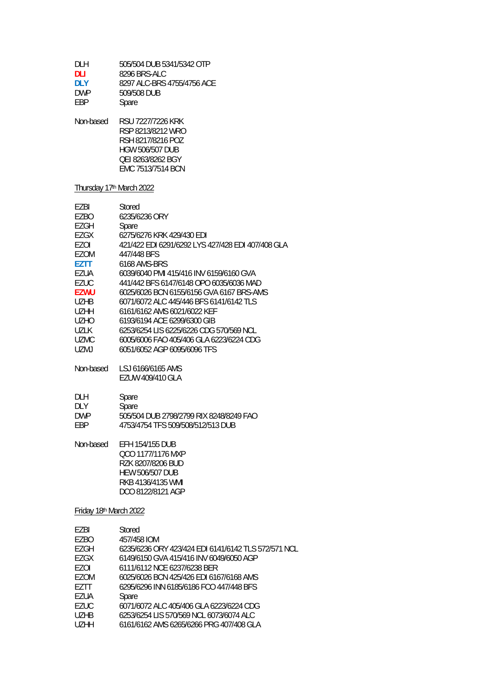| DLH<br>dli<br><b>DLY</b><br><b>DWP</b><br>EBP                                                                                                                                 | 505/504 DUB 5341/5342 OTP<br>8296 BRS-ALC<br>8297 ALC-BRS 4755/4756 ACE<br>509/508 DUB<br>Spare                                                                                                                                                                                                                                                                                                                                                                                                                   |
|-------------------------------------------------------------------------------------------------------------------------------------------------------------------------------|-------------------------------------------------------------------------------------------------------------------------------------------------------------------------------------------------------------------------------------------------------------------------------------------------------------------------------------------------------------------------------------------------------------------------------------------------------------------------------------------------------------------|
| Non-based                                                                                                                                                                     | RSU 7227/7226 KRK<br>RSP 8213/8212 WRO<br>RSH 8217/8216 POZ<br><b>HGW 506/507 DUB</b><br><b>QEI 8263/8262 BGY</b><br>EMC 7513/7514 BCN                                                                                                                                                                                                                                                                                                                                                                            |
| Thursday 17 <sup>th</sup> March 2022                                                                                                                                          |                                                                                                                                                                                                                                                                                                                                                                                                                                                                                                                   |
| EZBI<br>EZBO<br>EZGH<br>EZGX<br>EZOI<br><b>EZOM</b><br>EZTT<br>EZUA<br><b>EZUC</b><br><b>EZWU</b><br><b>UZHB</b><br><b>UZHH</b><br><b>UZHO</b><br>UZLK<br><b>UZMC</b><br>UZMJ | Stored<br>6235/6236 ORY<br>Spare<br>6275/6276 KRK 429/430 EDI<br>421/422 EDI 6291/6292 LYS 427/428 EDI 407/408 GLA<br>447/448 BFS<br>6168 AMS-BRS<br>6039/6040 PMI 415/416 INV 6159/6160 GVA<br>441/442 BES 6147/6148 OPO 6035/6036 MAD<br>6025/6026 BCN 6155/6156 GVA 6167 BRS-AMS<br>6071/6072 ALC 445/446 BFS 6141/6142 TLS<br>6161/6162 AMS 6021/6022 KEF<br>6193/6194 ACE 6299/6300 GIB<br>6253/6254 LIS 6225/6226 CDG 570/569 NCL<br>6005/6006 FAO 405/406 GLA 6223/6224 CDG<br>6051/6052 AGP 6095/6096 TFS |
| Non-based                                                                                                                                                                     | LSJ 6166/6165 AMS<br>EZUW 409/410 GLA                                                                                                                                                                                                                                                                                                                                                                                                                                                                             |
| DLH<br>DLY<br><b>DWP</b><br>EBP                                                                                                                                               | Spare<br>Spare<br>505/504 DUB 2798/2799 RIX 8248/8249 FAO<br>4753/4754 TFS 509/508/512/513 DUB                                                                                                                                                                                                                                                                                                                                                                                                                    |
| Non-based                                                                                                                                                                     | <b>EFH 154/155 DUB</b><br>QCO 1177/1176 MXP<br>RZK 8207/8206 BUD<br><b>HEW 506/507 DUB</b><br>RKB 4136/4135 WMI<br>DCO 8122/8121 AGP                                                                                                                                                                                                                                                                                                                                                                              |
| Friday 18th March 2022                                                                                                                                                        |                                                                                                                                                                                                                                                                                                                                                                                                                                                                                                                   |
| EZBI<br>EZBO<br>EZGH<br>EZGX<br>EZOI<br><b>EZOM</b><br>EZTT<br>EZUA<br><b>EZUC</b>                                                                                            | Stored<br>457/458 IOM<br>6235/6236 ORY 423/424 EDI 6141/6142 TLS 572/571 NCL<br>6149/6150 GVA 415/416 INV 6049/6050 AGP<br>6111/6112 NCE 6237/6238 BER<br>6025/6026 BCN 425/426 EDI 6167/6168 AMS<br>6295/6296 INN 6185/6186 FCO 447/448 BFS<br>Spare<br>6071/6072 ALC 405/406 GLA 6223/6224 CDG                                                                                                                                                                                                                  |

- UZHB 6253/6254 LIS 570/569 NCL 6073/6074 ALC
- UZHH 6161/6162 AMS 6265/6266 PRG 407/408 GLA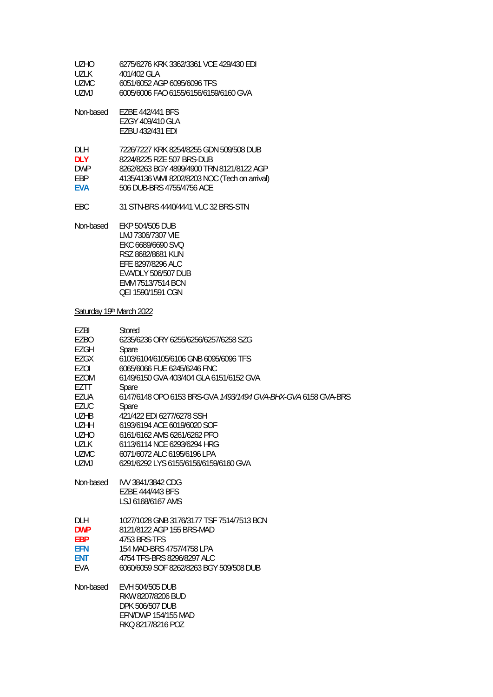| LIZHO. | 6275/6276 KRK 3362/3361 VCE 429/430 EDI |
|--------|-----------------------------------------|
| 1171 K | 401/402 GLA                             |
| UZMC.  | 6051/6052 AGP 6095/6096 TFS             |
| UZM L  | 6005/6006 FAO 6155/6156/6159/6160 GVA   |

| Non-based | EZBE 442/441 BFS |
|-----------|------------------|
|           | EZGY 409/410 GLA |
|           | EZBU 432/431 EDI |

| DI H       | 7226/7227 KRK 8254/8255 GDN 509/508 DUB       |
|------------|-----------------------------------------------|
| DI Y       | 8224/8225 RZE 507 BRS-DUB                     |
| <b>DWP</b> | 8262/8263 BGY 4899/4900 TRN 8121/8122 AGP     |
| FRP.       | 4135/4136 WMI 8202/8203 NOC (Tech on arrival) |
| <b>FVA</b> | 506 DUB-BRS 4755/4756 ACE                     |

EBC 31 STN-BRS 4440/4441 VLC 32 BRS-STN

Non-based EKP 504/505 DUB LMJ 7306/7307 VIE EKC 6689/6690 SVQ RSZ 8682/8681 KUN EFE 8297/8296 ALC EVA/DLY 506/507 DUB EMM 7513/7514 BCN QEI 1590/1591 CGN

## Saturday 19th March 2022

| EZBI<br>EZBO<br>EZGH<br>EZGX<br>EZOI<br>EZOM<br>EZTT<br>EZUA<br><b>EZUC</b><br><b>UZHB</b><br><b>UZHH</b><br><b>UZHO</b><br>UZLK<br><b>UZMC</b><br>UZMJ | Stored<br>6235/6236 ORY 6255/6256/6257/6258 SZG<br>Spare<br>6103/6104/6105/6106 GNB 6095/6096 TFS<br>6065/6066 FUE 6245/6246 FNC<br>6149/6150 GVA 403/404 GLA 6151/6152 GVA<br>Spare<br>6147/6148 OPO 6153 BRS-GVA 1493/1494 GVA-BHX-GVA 6158 GVA-BRS<br>Spare<br>421/422 EDI 6277/6278 SSH<br>6193/6194 ACE 6019/6020 SOF<br>6161/6162 AMS 6261/6262 PFO<br>6113/6114 NCE 6293/6294 HRG<br>6071/6072 ALC 6195/6196 LPA<br>6291/6292 LYS 6155/6156/6159/6160 GVA |
|---------------------------------------------------------------------------------------------------------------------------------------------------------|------------------------------------------------------------------------------------------------------------------------------------------------------------------------------------------------------------------------------------------------------------------------------------------------------------------------------------------------------------------------------------------------------------------------------------------------------------------|
| Non-based                                                                                                                                               | <b>IVV 3841/3842 CDG</b><br>F7BF 444/443 BFS<br>LSJ 6168/6167 AMS                                                                                                                                                                                                                                                                                                                                                                                                |
| <b>DLH</b><br><b>DWP</b><br><b>EBP</b><br><b>EFN</b><br><b>ENT</b><br><b>EVA</b>                                                                        | 1027/1028 GNB 3176/3177 TSF 7514/7513 BCN<br>8121/8122 AGP 155 BRS-MAD<br>4753 BRS-TFS<br>154 MAD-BRS 4757/4758 LPA<br>4754 TFS-BRS 8296/8297 ALC<br>6060/6059 SOF 8262/8263 BGY 509/508 DUB                                                                                                                                                                                                                                                                     |
| Non-based                                                                                                                                               | EVH 504/505 DUB<br>RKW 8207/8206 BUD<br>DPK 506/507 DUB<br>EFN/DWP 154/155 MAD<br>RKO 8217/8216 POZ                                                                                                                                                                                                                                                                                                                                                              |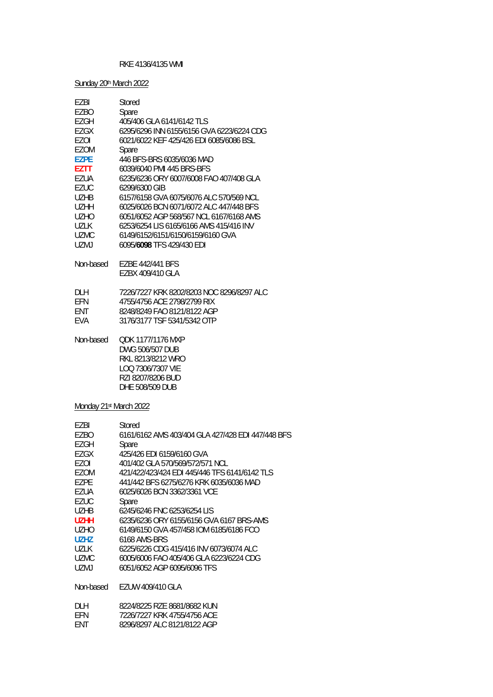### RKE 4136/4135 WMI

Sunday 20<sup>th</sup> March 2022

| EZBI                   | Stored                                            |
|------------------------|---------------------------------------------------|
| EZBO                   | Spare                                             |
| <b>EZGH</b>            | 405/406 GLA 6141/6142 TLS                         |
| EZGX                   | 6295/6296 INN 6155/6156 GVA 6223/6224 CDG         |
| EZOI                   | 6021/6022 KEF 425/426 EDI 6085/6086 BSL           |
| EZOM                   | Spare                                             |
| <b>EZPE</b>            | 446 BFS-BRS 6035/6036 MAD                         |
| <b>EZTT</b>            | 6039/6040 PMI 445 BRS-BFS                         |
| EZUA                   | 6235/6236 ORY 6007/6008 FAO 407/408 GLA           |
| <b>EZUC</b>            | 6299/6300 GIB                                     |
| <b>UZHB</b>            | 6157/6158 GVA 6075/6076 ALC 570/569 NCL           |
| <b>UZHH</b>            | 6025/6026 BCN 6071/6072 ALC 447/448 BFS           |
| <b>UZHO</b>            | 6051/6052 AGP 568/567 NCL 6167/6168 AMS           |
| <b>UZLK</b>            | 6253/6254 LIS 6165/6166 AMS 415/416 INV           |
|                        |                                                   |
| <b>UZMC</b>            | 6149/6152/6151/6150/6159/6160 GVA                 |
| <b>UZMJ</b>            | 6095/6098 TFS 429/430 EDI                         |
| Non-based              | EZBE 442/441 BFS                                  |
|                        | EZBX 409/410 GLA                                  |
|                        |                                                   |
| <b>DLH</b>             | 7226/7227 KRK 8202/8203 NOC 8296/8297 ALC         |
| EFN                    | 4755/4756 ACE 2798/2799 RIX                       |
| ENT                    | 8248/8249 FAO 8121/8122 AGP                       |
| EVA                    | 3176/3177 TSF 5341/5342 OTP                       |
|                        |                                                   |
| Non-based              | <b>QDK 1177/1176 MXP</b>                          |
|                        | DWG 506/507 DUB                                   |
|                        | RKL 8213/8212 WRO                                 |
|                        | LOQ 7306/7307 VIE                                 |
|                        | RZI 8207/8206 BUD                                 |
|                        | DHE 508/509 DUB                                   |
|                        |                                                   |
| Monday 21st March 2022 |                                                   |
|                        |                                                   |
| EZBI                   | Stored                                            |
| EZBO                   | 6161/6162 AMS 403/404 GLA 427/428 EDI 447/448 BFS |
| <b>EZGH</b>            | Spare                                             |
| EZGX                   | 425/426 EDI 6159/6160 GVA                         |
| <b>EZOI</b>            | 401/402 GLA 570/569/572/571 NCL                   |
| EZOM                   | 421/422/423/424 EDI 445/446 TFS 6141/6142 TLS     |
| <b>EZPE</b>            | 441/442 BFS 6275/6276 KRK 6035/6036 MAD           |
| EZUA                   | 6025/6026 BCN 3362/3361 VCE                       |
| <b>EZUC</b>            | Spare                                             |
| <b>UZHB</b>            | 6245/6246 FNC 6253/6254 LIS                       |
| <b>UZHH</b>            | 6235/6236 ORY 6155/6156 GVA 6167 BRS-AMS          |
| <b>UZHO</b>            | 6149/6150 GVA 457/458 IOM 6185/6186 FCO           |
| <b>UZHZ</b>            | 6168 AMS-BRS                                      |
| <b>UZLK</b>            | 6225/6226 CDG 415/416 INV 6073/6074 ALC           |
| <b>UZMC</b>            | 6005/6006 FAO 405/406 GLA 6223/6224 CDG           |
| <b>UZMJ</b>            | 6051/6052 AGP 6095/6096 TFS                       |
| Non-based              | EZUW 409/410 GLA                                  |
|                        |                                                   |
| DLH                    | 8224/8225 RZE 8681/8682 KUN                       |
| EFN                    | 7226/7227 KRK 4755/4756 ACE                       |
| ENT                    | 8296/8297 ALC 8121/8122 AGP                       |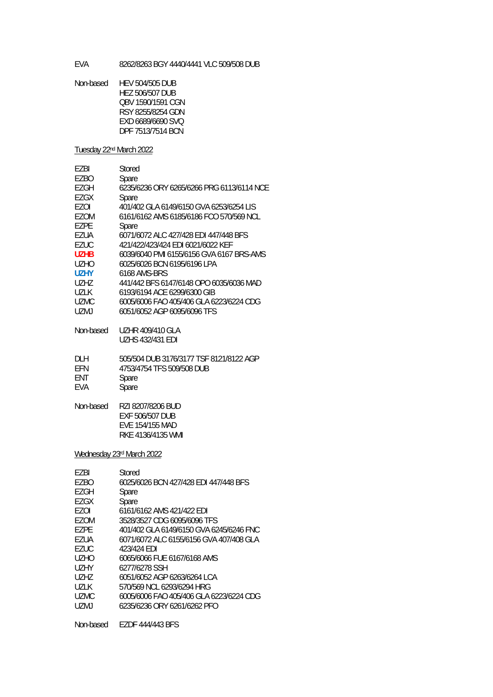EVA 8262/8263 BGY 4440/4441 VLC 509/508 DUB

Non-based HEV 504/505 DUB HEZ 506/507 DUB QBV 1590/1591 CGN RSY 8255/8254 GDN EXD 6689/6690 SVQ DPF 7513/7514 BCN

Tuesday 22nd March 2022

| <b>FZBI</b>                   | Stored                                    |
|-------------------------------|-------------------------------------------|
| F7BO                          | Spare                                     |
| EZGH                          | 6235/6236 ORY 6265/6266 PRG 6113/6114 NCE |
| EZGX                          | Spare                                     |
| F70I                          | 401/402 GLA 6149/6150 GVA 6253/6254 LIS   |
| EZOM                          | 6161/6162 AMS 6185/6186 FCO 570/569 NCL   |
| F7PF                          | Spare                                     |
| EZUA                          | 6071/6072 ALC 427/428 EDI 447/448 BFS     |
| EZUC                          | 421/422/423/424 FDI 6021/6022 KFF         |
| U7HB                          | 6039/6040 PML 6155/6156 GVA 6167 BRS-AMS  |
| U <sub>7</sub> H <sub>O</sub> | 6025/6026 BCN 6195/6196 LPA               |
| U7HY                          | 6168 AMS-BRS                              |
| U7H7                          | 441/442 BFS 6147/6148 OPO 6035/6036 MAD   |
| <b>U71K</b>                   | 6193/6194 ACE 6299/6300 GIB               |
| <b>UZMC</b>                   | 6005/6006 FAO 405/406 GLA 6223/6224 CDG   |
| <b>UZMJ</b>                   | 6051/6052 AGP 6095/6096 TFS               |
|                               |                                           |

Non-based UZHR 409/410 GLA UZHS 432/431 EDI

| <b>DLH</b> | 505/504 DUB 3176/3177 TSF 8121/8122 AGP |
|------------|-----------------------------------------|
| EFN        | 4753/4754 TFS 509/508 DUB               |
| <b>FNT</b> | Spare                                   |
| EVA        | Spare                                   |

Non-based RZI 8207/8206 BUD EXF 506/507 DUB EVE 154/155 MAD RKE 4136/4135 WMI

Wednesday 23rd March 2022

| EZBI   | Stored                                  |
|--------|-----------------------------------------|
| EZBO   | 6025/6026 BCN 427/428 EDI 447/448 BFS   |
| EZGH   | Spare                                   |
| F7GX   | Spare                                   |
| F70I   | 6161/6162 AMS 421/422 EDI               |
| F70M   | 3528/3527 CDG 6095/6096 TFS             |
| F7PF   | 401/402 GLA 6149/6150 GVA 6245/6246 FNC |
| EZUA   | 6071/6072 ALC 6155/6156 GVA 407/408 GLA |
| F7UC.  | 423/424 FDI                             |
| UZHO   | 6065/6066 FUE 6167/6168 AMS             |
| U7HY   | 6277/6278 SSH                           |
| U7H7   | 6051/6052 AGP 6263/6264 LCA             |
| 1171 K | 570/569 NCL 6293/6294 HRG               |
| UZMC.  | 6005/6006 FAO 405/406 GLA 6223/6224 CDG |
| UZMJ   | 6235/6236 ORY 6261/6262 PFO             |
|        |                                         |

Non-based EZDF 444/443 BFS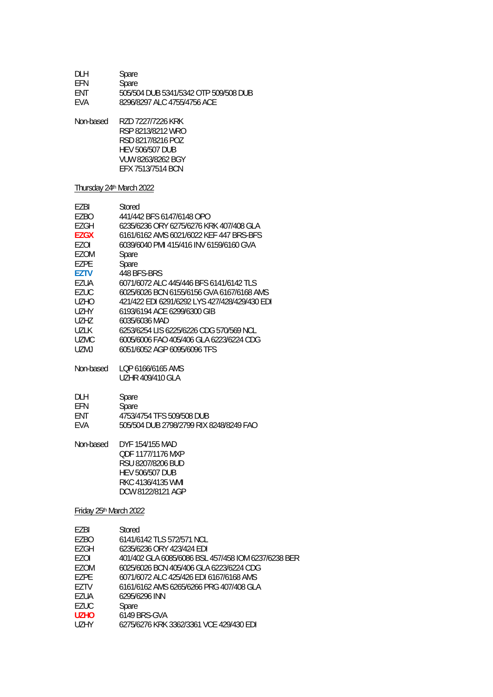| <b>DLH</b> | Spare                                  |
|------------|----------------------------------------|
| <b>FFN</b> | Spare                                  |
| <b>FNT</b> | 505/504 DUB 5341/5342 OTP 509/508 DUB  |
| <b>FVA</b> | 8296/8297 ALC 4755/4756 ACF            |
| Non-based  | RZD 7227/7226 KRK<br>RSP 8213/8212 WRO |

 RSD 8217/8216 POZ HEV 506/507 DUB VUW 8263/8262 BGY EFX 7513/7514 BCN

### Thursday 24<sup>th</sup> March 2022

| EZBI                   | Stored                                              |
|------------------------|-----------------------------------------------------|
| EZBO                   | 441/442 BFS 6147/6148 OPO                           |
| <b>EZGH</b>            | 6235/6236 ORY 6275/6276 KRK 407/408 GLA             |
| <b>EZGX</b>            | 6161/6162 AMS 6021/6022 KEF 447 BRS-BFS             |
| EZOI                   | 6039/6040 PMI 415/416 INV 6159/6160 GVA             |
| <b>EZOM</b>            | Spare                                               |
| <b>EZPE</b>            | Spare                                               |
| <b>EZTV</b>            | 448 BFS-BRS                                         |
| EZUA                   | 6071/6072 ALC 445/446 BFS 6141/6142 TLS             |
| <b>EZUC</b>            | 6025/6026 BCN 6155/6156 GVA 6167/6168 AMS           |
| <b>UZHO</b>            | 421/422 EDI 6291/6292 LYS 427/428/429/430 EDI       |
| <b>UZHY</b>            | 6193/6194 ACE 6299/6300 GIB                         |
| <b>UZHZ</b>            | 6035/6036 MAD                                       |
| <b>UZLK</b>            | 6253/6254 LIS 6225/6226 CDG 570/569 NCL             |
| <b>UZMC</b>            | 6005/6006 FAO 405/406 GLA 6223/6224 CDG             |
| <b>UZMJ</b>            | 6051/6052 AGP 6095/6096 TFS                         |
| Non-based              | LQP 6166/6165 AMS                                   |
|                        | UZHR 409/410 GLA                                    |
| DLH                    | Spare                                               |
| EFN                    | Spare                                               |
| <b>ENT</b>             | 4753/4754 TFS 509/508 DUB                           |
| EVA                    | 505/504 DUB 2798/2799 RIX 8248/8249 FAO             |
| Non-based              | DYF 154/155 MAD                                     |
|                        | QDF 1177/1176 MXP                                   |
|                        | RSU 8207/8206 BUD                                   |
|                        | <b>HEV 506/507 DUB</b>                              |
|                        | RKC 4136/4135 WMI                                   |
|                        | DCW 8122/8121 AGP                                   |
| Friday 25th March 2022 |                                                     |
| <b>EZBI</b>            | Stored                                              |
| EZBO                   | 6141/6142 TLS 572/571 NCL                           |
| <b>EZGH</b>            | 6235/6236 ORY 423/424 EDI                           |
| <b>EZOI</b>            | 401/402 GLA 6085/6086 BSL 457/458 IOM 6237/6238 BER |
| EZOM                   | 6025/6026 BCN 405/406 GLA 6223/6224 CDG             |
| EZPE                   | 6071/6072 ALC 425/426 EDI 6167/6168 AMS             |

EZTV 6161/6162 AMS 6265/6266 PRG 407/408 GLA<br>EZUA 6295/6296 INN

- EZUA 6295/6296 INN<br>EZUC Spare
- EZUC Spare<br>UZHO 6149 E
- **UZHO** 6149 BRS-GVA<br>UZHY 6275/6276 KRK
- UZHY 6275/6276 KRK 3362/3361 VCE 429/430 EDI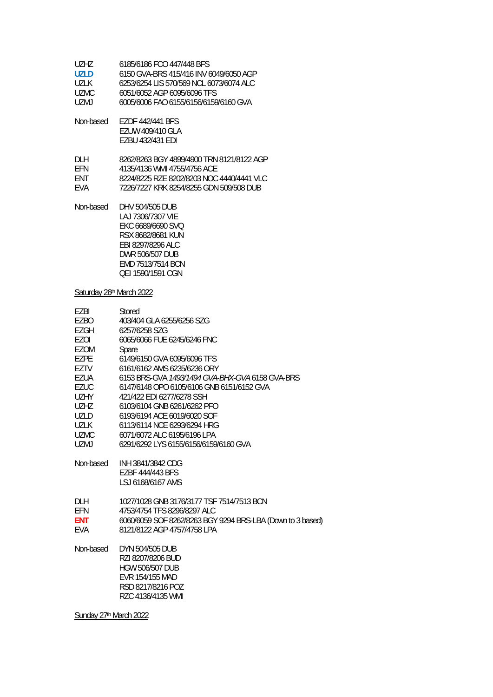| UZHZ.  | 6185/6186 FCO 447/448 BFS               |
|--------|-----------------------------------------|
| UZI D  | 6150 GVA-BRS 415/416 INV 6049/6050 AGP  |
| 1171 K | 6253/6254 LIS 570/569 NCL 6073/6074 ALC |
| TIZMC. | 6051/6052 AGP 6095/6096 TFS             |
| UZM L  | 6005/6006 FAO 6155/6156/6159/6160 GVA   |

Non-based EZDF 442/441 BFS EZUW 409/410 GLA EZBU 432/431 EDI

| DI H       | 8262/8263 BGY 4899/4900 TRN 8121/8122 AGP |
|------------|-------------------------------------------|
| <b>FFN</b> | 4135/4136 WMI 4755/4756 ACF               |
| <b>FNT</b> | 8224/8225 RZE 8202/8203 NOC 4440/4441 VLC |
| <b>FVA</b> | 7226/7227 KRK 8254/8255 GDN 509/508 DUB   |

Non-based DHV 504/505 DUB LAJ 7306/7307 VIE EKC 6689/6690 SVQ RSX 8682/8681 KUN EBI 8297/8296 ALC DWR 506/507 DUB EMD 7513/7514 BCN QEI 1590/1591 CGN

Saturday 26th March 2022

| EZBI<br>EZBO | Stored<br>403/404 GLA 6255/6256 SZG                        |
|--------------|------------------------------------------------------------|
| EZGH         | 6257/6258 SZG                                              |
| EZOI         | 6065/6066 FUE 6245/6246 FNC                                |
| EZOM         | Spare                                                      |
| EZPE         | 6149/6150 GVA 6095/6096 TFS                                |
| EZTV         | 6161/6162 AMS 6235/6236 ORY                                |
| EZUA         | 6153 BRS-GVA 1493/1494 GVA-BHX-GVA 6158 GVA-BRS            |
| EZUC         | 6147/6148 OPO 6105/6106 GNB 6151/6152 GVA                  |
| UZHY         | 421/422 EDI 6277/6278 SSH                                  |
| UZHZ         | 6103/6104 GNB 6261/6262 PFO                                |
| <b>UZLD</b>  | 6193/6194 ACE 6019/6020 SOF                                |
| UZLK         | 6113/6114 NCE 6293/6294 HRG                                |
| <b>UZMC</b>  | 6071/6072 ALC 6195/6196 LPA                                |
| UZMJ         | 6291/6292 LYS 6155/6156/6159/6160 GVA                      |
| Non-based    | INH 3841/3842 CDG                                          |
|              | EZBF 444/443 BFS                                           |
|              | LSJ 6168/6167 AMS                                          |
| DLH          | 1027/1028 GNB 3176/3177 TSF 7514/7513 BCN                  |
| EFN          | 4753/4754 TFS 8296/8297 ALC                                |
| ENT          | 6060/6059 SOF 8262/8263 BGY 9294 BRS-LBA (Down to 3 based) |
| EVA          | 8121/8122 AGP 4757/4758 LPA                                |
| Non-based    | DYN 504/505 DUB                                            |
|              | RZI 8207/8206 BUD                                          |
|              | <b>HGW 506/507 DUB</b>                                     |
|              | EVR 154/155 MAD                                            |
|              | RSD 8217/8216 POZ                                          |
|              | RZC 4136/4135 WMI                                          |

Sunday 27<sup>th</sup> March 2022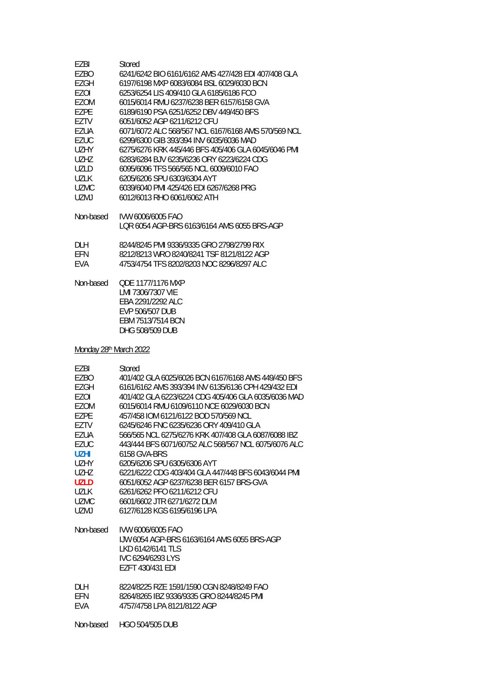| EZBI                               | Stored                                                                                                                         |
|------------------------------------|--------------------------------------------------------------------------------------------------------------------------------|
| EZBO                               | 6241/6242 BIO 6161/6162 AMS 427/428 EDI 407/408 GLA                                                                            |
| <b>EZGH</b>                        | 6197/6198 MXP 6083/6084 BSL 6029/6030 BCN                                                                                      |
| EZOI                               | 6253/6254 LIS 409/410 GLA 6185/6186 FCO                                                                                        |
| <b>EZOM</b>                        | 6015/6014 RMU 6237/6238 BER 6157/6158 GVA                                                                                      |
| EZPE                               | 6189/6190 PSA 6251/6252 DBV 449/450 BFS                                                                                        |
| EZTV                               | 6051/6052 AGP 6211/6212 CFU                                                                                                    |
| <b>EZUA</b>                        | 6071/6072 ALC 568/567 NCL 6167/6168 AMS 570/569 NCL                                                                            |
| <b>EZUC</b>                        | 6299/6300 GIB 393/394 INV 6035/6036 MAD                                                                                        |
| <b>UZHY</b>                        | 6275/6276 KRK 445/446 BFS 405/406 GLA 6045/6046 PMI                                                                            |
| <b>UZHZ</b>                        | 6283/6284 BJV 6235/6236 ORY 6223/6224 CDG                                                                                      |
| <b>UZLD</b>                        | 6095/6096 TFS 566/565 NCL 6009/6010 FAO                                                                                        |
| <b>UZLK</b>                        | 6205/6206 SPU 6303/6304 AYT                                                                                                    |
| <b>UZMC</b>                        | 6039/6040 PMI 425/426 EDI 6267/6268 PRG                                                                                        |
| <b>UZMJ</b>                        | 6012/6013 RHO 6061/6062 ATH                                                                                                    |
| Non-based                          | IVW 6006/6005 FAO<br>LQR 6054 AGP-BRS 6163/6164 AMS 6055 BRS-AGP                                                               |
| <b>DLH</b>                         | 8244/8245 PMI 9336/9335 GRO 2798/2799 RIX                                                                                      |
| EFN                                | 8212/8213 WRO 8240/8241 TSF 8121/8122 AGP                                                                                      |
| <b>EVA</b>                         | 4753/4754 TFS 8202/8203 NOC 8296/8297 ALC                                                                                      |
| Non-based                          | <b>QDE 1177/1176 MXP</b><br>LMI 7306/7307 VIE<br>EBA 2291/2292 ALC<br>EVP 506/507 DUB<br>EBM 7513/7514 BCN<br>DHG 508/509 DUB  |
| Monday 28 <sup>th</sup> March 2022 |                                                                                                                                |
| EZBI                               | Stored                                                                                                                         |
| EZBO                               | 401/402 GLA 6025/6026 BCN 6167/6168 AMS 449/450 BFS                                                                            |
| EZGH                               | 6161/6162 AMS 393/394 INV 6135/6136 CPH 429/432 EDI                                                                            |
| EZOI                               | 401/402 GLA 6223/6224 CDG 405/406 GLA 6035/6036 MAD                                                                            |
| <b>EZOM</b>                        | 6015/6014 RMU 6109/6110 NCE 6029/6030 BCN                                                                                      |
| EZPE                               | 457/458 IOM 6121/6122 BOD 570/569 NCL                                                                                          |
| EZTV                               | 6245/6246 FNC 6235/6236 ORY 409/410 GLA                                                                                        |
| <b>EZUA</b>                        | 566/565 NCL 6275/6276 KRK 407/408 GLA 6087/6088 IBZ                                                                            |
| <b>EZUC</b>                        | 443/444 BFS 6071/60752 ALC 568/567 NCL 6075/6076 ALC                                                                           |
| <b>UZHI</b>                        | 6158 GVA-BRS                                                                                                                   |
| <b>UZHY</b>                        | 6205/6206 SPU 6305/6306 AYT                                                                                                    |
| <b>UZHZ</b>                        | 6221/6222 CDG 403/404 GLA 447/448 BFS 6043/6044 PMI                                                                            |
| <b>UZLD</b>                        | 6051/6052 AGP 6237/6238 BER 6157 BRS-GVA                                                                                       |
| UZLK                               | 6261/6262 PFO 6211/6212 CFU                                                                                                    |
| <b>UZMC</b>                        | 6601/6602 JTR 6271/6272 DLM                                                                                                    |
| UZMJ                               | 6127/6128 KGS 6195/6196 LPA                                                                                                    |
| Non-based                          | IVW 6006/6005 FAO<br>IJW 6054 AGP-BRS 6163/6164 AMS 6055 BRS-AGP<br>LKD 6142/6141 TLS<br>IVC 6294/6293 LYS<br>EZFT 430/431 EDI |
| <b>DLH</b>                         | 8224/8225 RZE 1591/1590 CGN 8248/8249 FAO                                                                                      |
| EFN                                | 8264/8265 IBZ 9336/9335 GRO 8244/8245 PMI                                                                                      |
| <b>EVA</b>                         | 4757/4758 LPA 8121/8122 AGP                                                                                                    |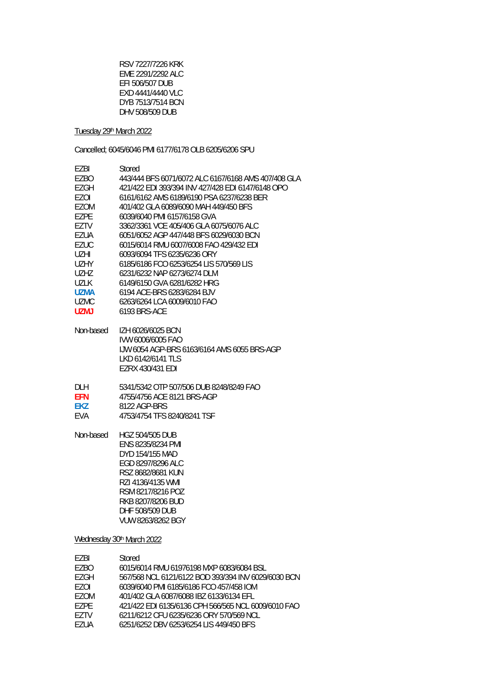RSV 7227/7226 KRK EME 2291/2292 ALC EFI 506/507 DUB EXD 4441/4440 VLC DYB 7513/7514 BCN DHV 508/509 DUB

Tuesday 29th March 2022

Cancelled; 6045/6046 PMI 6177/6178 OLB 6205/6206 SPU

| F7BI        | Stored                                              |
|-------------|-----------------------------------------------------|
| <b>EZBO</b> | 443/444 BES 6071/6072 ALC 6167/6168 AMS 407/408 GLA |
| EZGH        | 421/422 FDI 393/394 INV 427/428 FDI 6147/6148 OPO   |
| EZOI        | 6161/6162 AMS 6189/6190 PSA 6237/6238 BER           |
| F70M        | 401/402 GLA 6089/6090 MAH 449/450 BES               |
| F7PF        | 6039/6040 PMI 6157/6158 GVA                         |
| F7TV        | 3362/3361 VCF 405/406 GLA 6075/6076 ALC             |
| F7UA        | 6051/6052 AGP 447/448 BES 6029/6030 BCN             |
| <b>EZUC</b> | 6015/6014 RMU 6007/6008 FAO 429/432 EDI             |
| UZHI.       | 6093/6094 TES 6235/6236 ORY                         |
| <b>UZHY</b> | 6185/6186 FCO 6253/6254 LIS 570/569 LIS             |
| U7H7        | 6231/6232 NAP 6273/6274 DLM                         |
| 1171 K      | 6149/6150 GVA 6281/6282 HRG                         |
| U7MA        | 6194 ACE-BRS 6283/6284 BJV                          |
| <b>UZMC</b> | 6263/6264 LCA 6009/6010 FAO                         |
| <b>UZMJ</b> | 6193 BRS-ACF                                        |
| Non-based   | IZH 6026/6025 BCN                                   |
|             | IVW 6006/6005 FAO                                   |
|             | LJW 6054 AGP-BRS 6163/6164 AMS 6055 BRS-AGP         |
|             | 1 KD 6142/6141 TI S                                 |
|             | F7RX 430/431 FDI                                    |
| DI H        | 5341/5342 OTP 507/506 DUB 8248/8249 FAO             |
| <b>FFN</b>  | 4755/4756 ACF 8121 BRS-AGP                          |
| <b>EKZ</b>  | 8122 AGP-BRS                                        |
|             |                                                     |

EVA 4753/4754 TFS 8240/8241 TSF

Non-based HGZ 504/505 DUB ENS 8235/8234 PMI DYD 154/155 MAD EGD 8297/8296 ALC RSZ 8682/8681 KUN RZI 4136/4135 WMI RSM 8217/8216 POZ RKB 8207/8206 BUD DHF 508/509 DUB VUW 8263/8262 BGY

#### Wednesday 30th March 2022

| F7BI  | Stored                                              |
|-------|-----------------------------------------------------|
| EZBO  | 6015/6014 RMU 61976198 MXP 6083/6084 BSL            |
| F7GH  | 567/568 NCL 6121/6122 BOD 393/394 INV 6029/6030 BCN |
| F70I  | 6039/6040 PMI 6185/6186 FCO 457/458 IOM             |
| F70M  | 401/402 GLA 6087/6088 IBZ 6133/6134 EFL             |
| F7PF  | 421/422 EDI 6135/6136 CPH 566/565 NCL 6009/6010 FAO |
| F7TV  | 6211/6212 CFU 6235/6236 ORY 570/569 NCL             |
| F7IIA | 6251/6252 DBV 6253/6254 LIS 449/450 BFS             |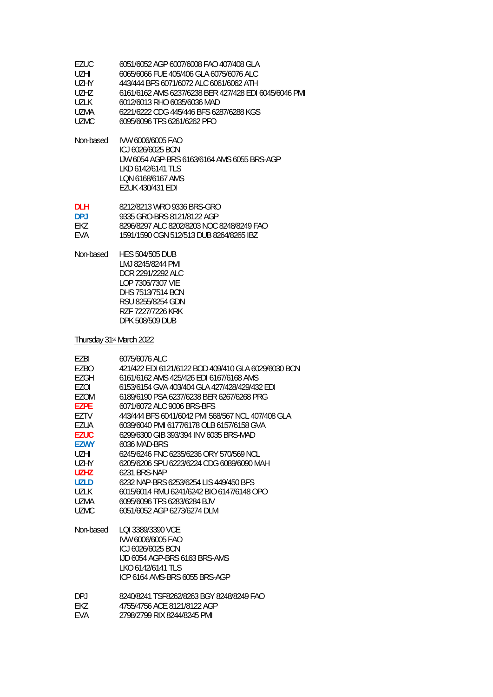| EZUC  | 6051/6052 AGP 6007/6008 FAO 407/408 GLA               |
|-------|-------------------------------------------------------|
| UZHI. | 6065/6066 FUE 405/406 GLA 6075/6076 ALC               |
| UZHY  | 443/444 BFS 6071/6072 ALC 6061/6062 ATH               |
| U7H7  | 6161/6162 AMS 6237/6238 BER 427/428 EDI 6045/6046 PMI |
| UZLK  | 6012/6013 RHO 6035/6036 MAD                           |
| UZMA  | 6221/6222 CDG 445/446 BFS 6287/6288 KGS               |
| UZMC. | 6095/6096 TFS 6261/6262 PFO                           |

Non-based IVW 6006/6005 FAO ICJ 6026/6025 BCN IJW 6054 AGP-BRS 6163/6164 AMS 6055 BRS-AGP LKD 6142/6141 TLS LQN 6168/6167 AMS EZUK 430/431 EDI

| DI H           | 8212/8213 WRO 9336 BRS-GRO                |
|----------------|-------------------------------------------|
| D <sub>P</sub> | 9335 GRO-BRS 8121/8122 AGP                |
| FK7            | 8296/8297 ALC 8202/8203 NOC 8248/8249 FAO |
| <b>FVA</b>     | 1591/1590 CGN 512/513 DUB 8264/8265 IBZ   |

Non-based HES 504/505 DUB LMJ 8245/8244 PMI DCR 2291/2292 ALC LOP 7306/7307 VIE DHS 7513/7514 BCN RSU 8255/8254 GDN RZF 7227/7226 KRK DPK 508/509 DUB

Thursday 31st March 2022

| F7BI        | 6075/6076 ALC                                       |
|-------------|-----------------------------------------------------|
| <b>EZBO</b> | 421/422 EDI 6121/6122 BOD 409/410 GLA 6029/6030 BCN |
| EZGH        | 6161/6162 AMS 425/426 FDI 6167/6168 AMS             |
| F70L        | 6153/6154 GVA 403/404 GLA 427/428/429/432 FDL       |
| <b>EZOM</b> | 6189/6190 PSA 6237/6238 BER 6267/6268 PRG           |
| <b>EZPE</b> | 6071/6072 ALC 9006 BRS-BES                          |
| F7TV        | 443/444 BES 6041/6042 PMI 568/567 NCL 407/408 GLA   |
| EZUA        | 6039/6040 PMI 6177/6178 OLB 6157/6158 GVA           |
| <b>EZUC</b> | 6299/6300 GIB 393/394 INV 6035 BRS-MAD              |
| <b>F7WY</b> | 6036 MAD-BRS                                        |
| UZHI.       | 6245/6246 FNC 6235/6236 ORY 570/569 NCL             |
| <b>UZHY</b> | 6205/6206 SPU 6223/6224 CDG 6089/6090 MAH           |
| UZHZ.       | 6231 BRS-NAP                                        |
| <b>UZLD</b> | 6232 NAP-BRS 6253/6254 LIS 449/450 BES              |
| 1171 K      | 6015/6014 RMU 6241/6242 BIO 6147/6148 OPO           |
| UZMA        | 6095/6096 TFS 6283/6284 BJV                         |
| <b>UZMC</b> | 6051/6052 AGP 6273/6274 DLM                         |
| Non-based   | LOL3389/3390 VCF                                    |
|             | IVW 6006/6005 FAO                                   |
|             | ICJ 6026/6025 BCN                                   |
|             | LID 6054 AGP-BRS 6163 BRS-AMS                       |
|             | I KO 6142/6141 TI S                                 |
|             | ICP 6164 AMS-BRS 6055 BRS-AGP                       |
| DP.I        | 8240/8241 TSF8262/8263 BGY 8248/8249 FAO            |
| FK7         | 4755/4756 ACF 8121/8122 AGP                         |

EVA 2798/2799 RIX 8244/8245 PMI